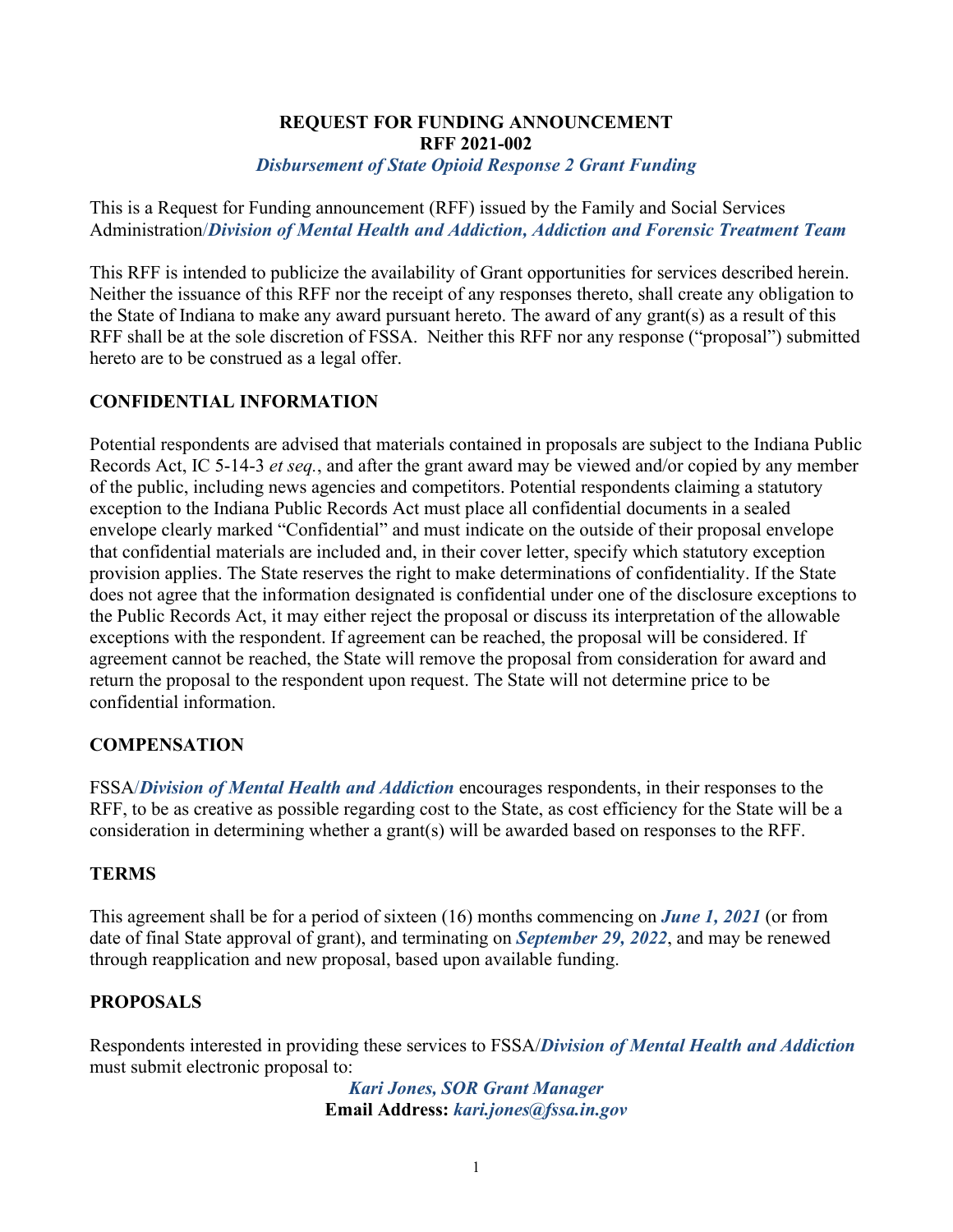### **REQUEST FOR FUNDING ANNOUNCEMENT RFF 2021-002**  *Disbursement of State Opioid Response 2 Grant Funding*

This is a Request for Funding announcement (RFF) issued by the Family and Social Services Administration/*Division of Mental Health and Addiction, Addiction and Forensic Treatment Team*

This RFF is intended to publicize the availability of Grant opportunities for services described herein. Neither the issuance of this RFF nor the receipt of any responses thereto, shall create any obligation to the State of Indiana to make any award pursuant hereto. The award of any grant(s) as a result of this RFF shall be at the sole discretion of FSSA. Neither this RFF nor any response ("proposal") submitted hereto are to be construed as a legal offer.

# **CONFIDENTIAL INFORMATION**

Potential respondents are advised that materials contained in proposals are subject to the Indiana Public Records Act, IC 5-14-3 *et seq.*, and after the grant award may be viewed and/or copied by any member of the public, including news agencies and competitors. Potential respondents claiming a statutory exception to the Indiana Public Records Act must place all confidential documents in a sealed envelope clearly marked "Confidential" and must indicate on the outside of their proposal envelope that confidential materials are included and, in their cover letter, specify which statutory exception provision applies. The State reserves the right to make determinations of confidentiality. If the State does not agree that the information designated is confidential under one of the disclosure exceptions to the Public Records Act, it may either reject the proposal or discuss its interpretation of the allowable exceptions with the respondent. If agreement can be reached, the proposal will be considered. If agreement cannot be reached, the State will remove the proposal from consideration for award and return the proposal to the respondent upon request. The State will not determine price to be confidential information.

## **COMPENSATION**

FSSA/*Division of Mental Health and Addiction* encourages respondents, in their responses to the RFF, to be as creative as possible regarding cost to the State, as cost efficiency for the State will be a consideration in determining whether a grant(s) will be awarded based on responses to the RFF.

## **TERMS**

This agreement shall be for a period of sixteen (16) months commencing on *June 1, 2021* (or from date of final State approval of grant), and terminating on *September 29, 2022*, and may be renewed through reapplication and new proposal, based upon available funding.

## **PROPOSALS**

Respondents interested in providing these services to FSSA/*Division of Mental Health and Addiction* must submit electronic proposal to:

> *Kari Jones, SOR Grant Manager* **Email Address:** *kari.jones@fssa.in.gov*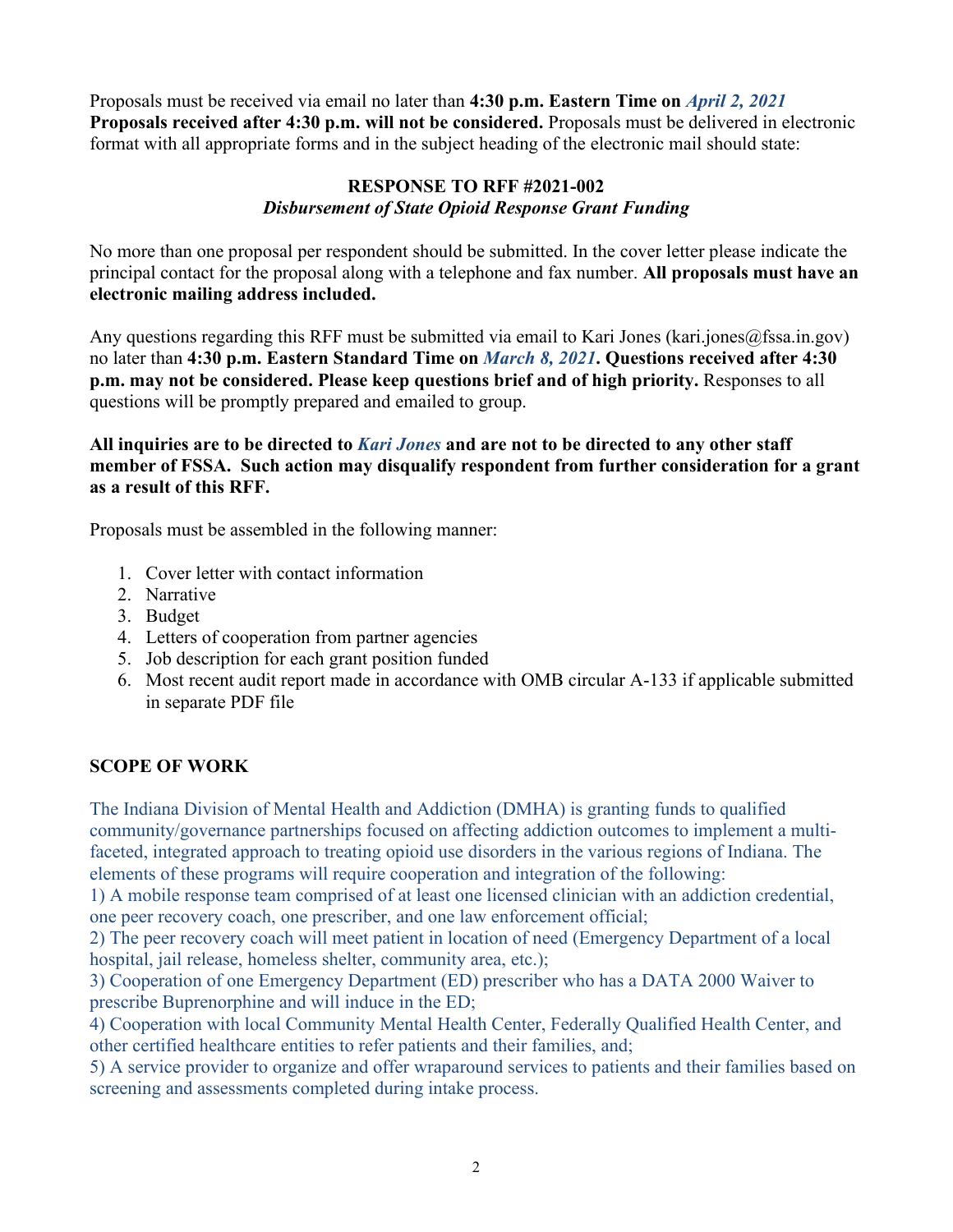Proposals must be received via email no later than **4:30 p.m. Eastern Time on** *April 2, 2021* **Proposals received after 4:30 p.m. will not be considered.** Proposals must be delivered in electronic format with all appropriate forms and in the subject heading of the electronic mail should state:

# **RESPONSE TO RFF #2021-002** *Disbursement of State Opioid Response Grant Funding*

No more than one proposal per respondent should be submitted. In the cover letter please indicate the principal contact for the proposal along with a telephone and fax number. **All proposals must have an electronic mailing address included.**

Any questions regarding this RFF must be submitted via email to Kari Jones (kari.jones@fssa.in.gov) no later than **4:30 p.m. Eastern Standard Time on** *March 8, 2021***. Questions received after 4:30 p.m. may not be considered. Please keep questions brief and of high priority.** Responses to all questions will be promptly prepared and emailed to group.

**All inquiries are to be directed to** *Kari Jones* **and are not to be directed to any other staff member of FSSA. Such action may disqualify respondent from further consideration for a grant as a result of this RFF.**

Proposals must be assembled in the following manner:

- 1. Cover letter with contact information
- 2. Narrative
- 3. Budget
- 4. Letters of cooperation from partner agencies
- 5. Job description for each grant position funded
- 6. Most recent audit report made in accordance with OMB circular A-133 if applicable submitted in separate PDF file

## **SCOPE OF WORK**

The Indiana Division of Mental Health and Addiction (DMHA) is granting funds to qualified community/governance partnerships focused on affecting addiction outcomes to implement a multifaceted, integrated approach to treating opioid use disorders in the various regions of Indiana. The elements of these programs will require cooperation and integration of the following:

1) A mobile response team comprised of at least one licensed clinician with an addiction credential, one peer recovery coach, one prescriber, and one law enforcement official;

2) The peer recovery coach will meet patient in location of need (Emergency Department of a local hospital, jail release, homeless shelter, community area, etc.);

3) Cooperation of one Emergency Department (ED) prescriber who has a DATA 2000 Waiver to prescribe Buprenorphine and will induce in the ED;

4) Cooperation with local Community Mental Health Center, Federally Qualified Health Center, and other certified healthcare entities to refer patients and their families, and;

5) A service provider to organize and offer wraparound services to patients and their families based on screening and assessments completed during intake process.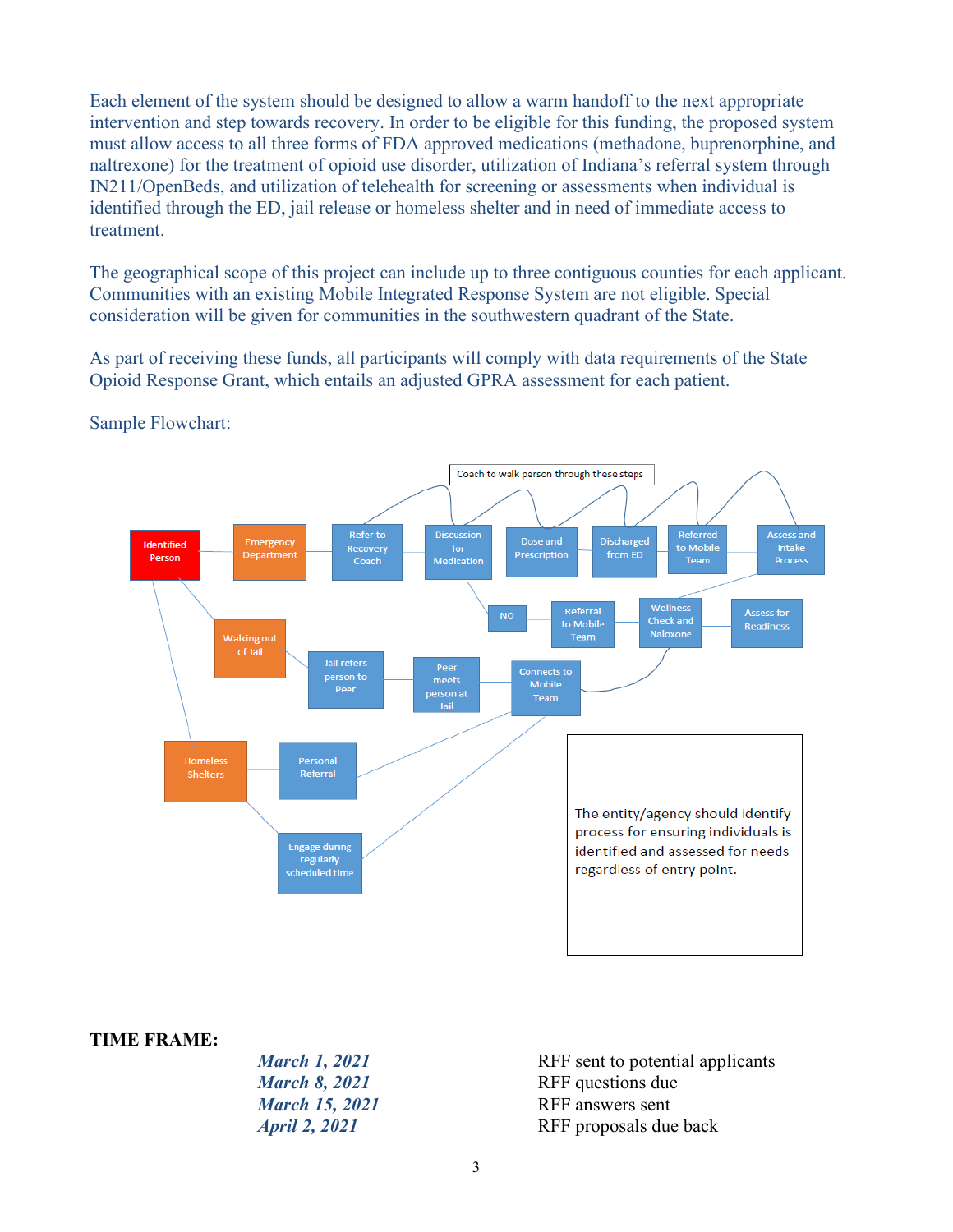Each element of the system should be designed to allow a warm handoff to the next appropriate intervention and step towards recovery. In order to be eligible for this funding, the proposed system must allow access to all three forms of FDA approved medications (methadone, buprenorphine, and naltrexone) for the treatment of opioid use disorder, utilization of Indiana's referral system through IN211/OpenBeds, and utilization of telehealth for screening or assessments when individual is identified through the ED, jail release or homeless shelter and in need of immediate access to treatment.

The geographical scope of this project can include up to three contiguous counties for each applicant. Communities with an existing Mobile Integrated Response System are not eligible. Special consideration will be given for communities in the southwestern quadrant of the State.

As part of receiving these funds, all participants will comply with data requirements of the State Opioid Response Grant, which entails an adjusted GPRA assessment for each patient.



# Sample Flowchart:

#### **TIME FRAME:**

| <b>March 1, 2021</b>  | RFF sent to potential applicants |
|-----------------------|----------------------------------|
| <b>March 8, 2021</b>  | RFF questions due                |
| <b>March 15, 2021</b> | RFF answers sent                 |
| <i>April 2, 2021</i>  | RFF proposals due back           |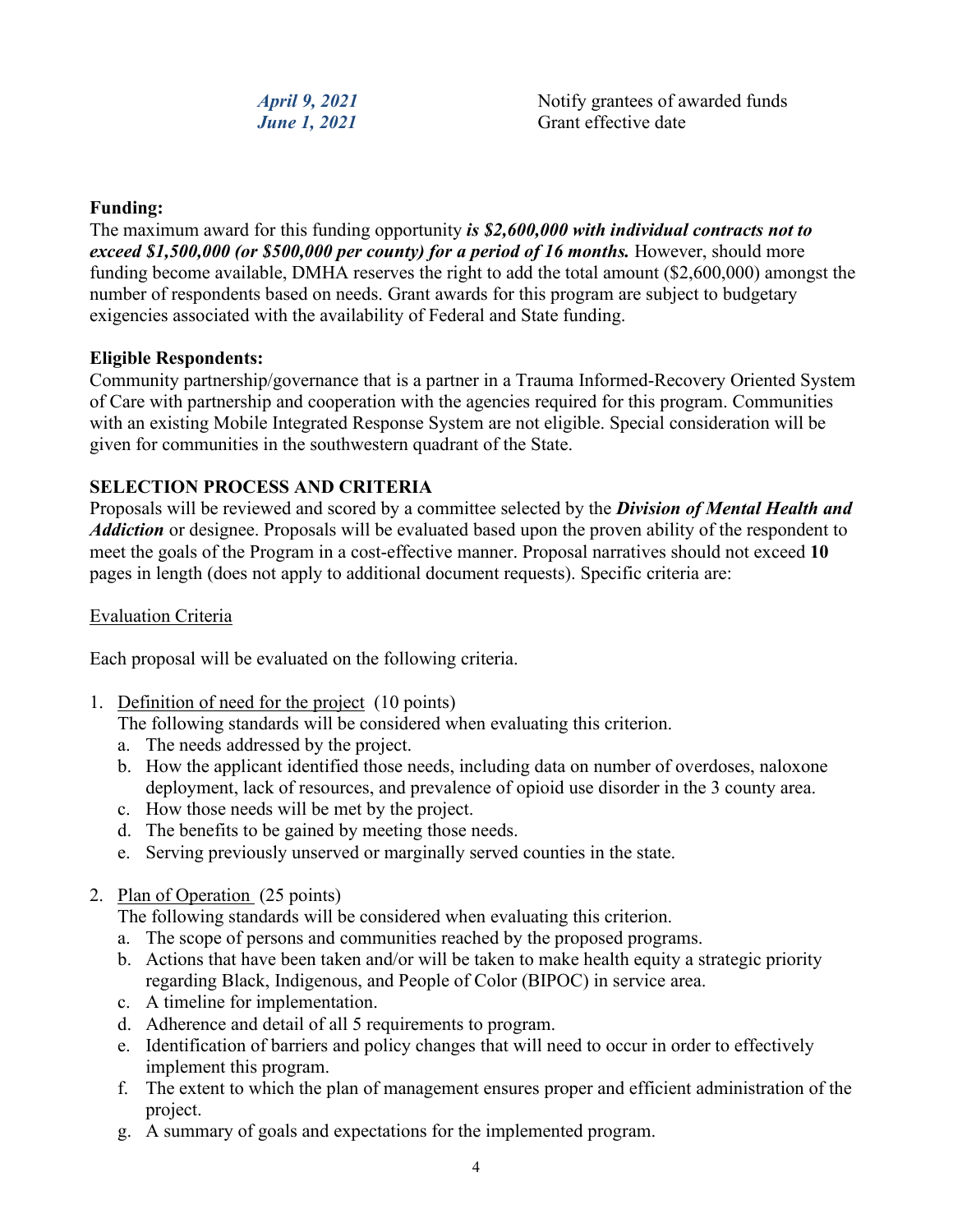*April 9, 2021* Notify grantees of awarded funds *June 1, 2021* Grant effective date

### **Funding:**

The maximum award for this funding opportunity *is \$2,600,000 with individual contracts not to exceed \$1,500,000 (or \$500,000 per county) for a period of 16 months.* However, should more funding become available, DMHA reserves the right to add the total amount (\$2,600,000) amongst the number of respondents based on needs. Grant awards for this program are subject to budgetary exigencies associated with the availability of Federal and State funding.

### **Eligible Respondents:**

Community partnership/governance that is a partner in a Trauma Informed-Recovery Oriented System of Care with partnership and cooperation with the agencies required for this program. Communities with an existing Mobile Integrated Response System are not eligible. Special consideration will be given for communities in the southwestern quadrant of the State.

## **SELECTION PROCESS AND CRITERIA**

Proposals will be reviewed and scored by a committee selected by the *Division of Mental Health and Addiction* or designee. Proposals will be evaluated based upon the proven ability of the respondent to meet the goals of the Program in a cost-effective manner. Proposal narratives should not exceed **10** pages in length (does not apply to additional document requests). Specific criteria are:

#### Evaluation Criteria

Each proposal will be evaluated on the following criteria.

1. Definition of need for the project (10 points)

The following standards will be considered when evaluating this criterion.

- a. The needs addressed by the project.
- b. How the applicant identified those needs, including data on number of overdoses, naloxone deployment, lack of resources, and prevalence of opioid use disorder in the 3 county area.
- c. How those needs will be met by the project.
- d. The benefits to be gained by meeting those needs.
- e. Serving previously unserved or marginally served counties in the state.
- 2. Plan of Operation (25 points)

The following standards will be considered when evaluating this criterion.

- a. The scope of persons and communities reached by the proposed programs.
- b. Actions that have been taken and/or will be taken to make health equity a strategic priority regarding Black, Indigenous, and People of Color (BIPOC) in service area.
- c. A timeline for implementation.
- d. Adherence and detail of all 5 requirements to program.
- e. Identification of barriers and policy changes that will need to occur in order to effectively implement this program.
- f. The extent to which the plan of management ensures proper and efficient administration of the project.
- g. A summary of goals and expectations for the implemented program.